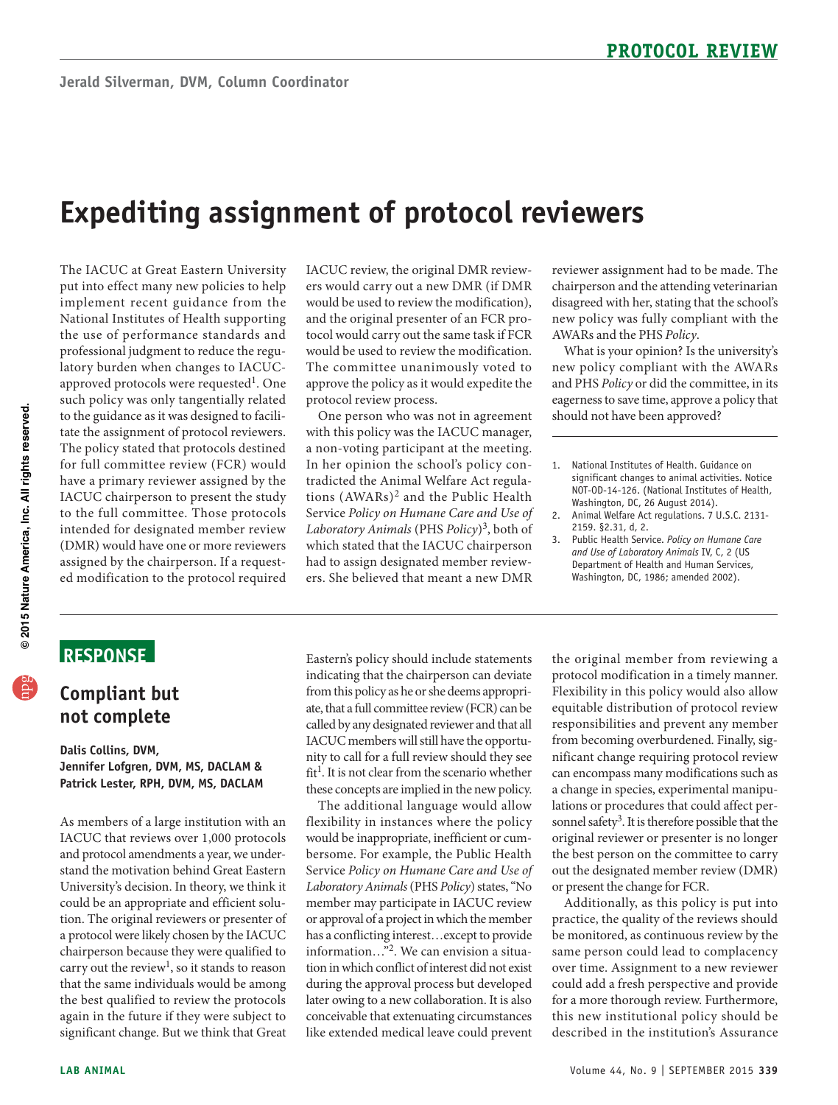# **Expediting assignment of protocol reviewers**

The IACUC at Great Eastern University put into effect many new policies to help implement recent guidance from the National Institutes of Health supporting the use of performance standards and professional judgment to reduce the regulatory burden when changes to IACUCapproved protocols were requested<sup>1</sup>. One such policy was only tangentially related to the guidance as it was designed to facilitate the assignment of protocol reviewers. The policy stated that protocols destined for full committee review (FCR) would have a primary reviewer assigned by the IACUC chairperson to present the study to the full committee. Those protocols intended for designated member review (DMR) would have one or more reviewers assigned by the chairperson. If a requested modification to the protocol required IACUC review, the original DMR reviewers would carry out a new DMR (if DMR would be used to review the modification), and the original presenter of an FCR protocol would carry out the same task if FCR would be used to review the modification. The committee unanimously voted to approve the policy as it would expedite the protocol review process.

One person who was not in agreement with this policy was the IACUC manager, a non-voting participant at the meeting. In her opinion the school's policy contradicted the Animal Welfare Act regulations (AWARs)<sup>2</sup> and the Public Health Service *Policy on Humane Care and Use of Laboratory Animals* (PHS *Policy*)3, both of which stated that the IACUC chairperson had to assign designated member reviewers. She believed that meant a new DMR

reviewer assignment had to be made. The chairperson and the attending veterinarian disagreed with her, stating that the school's new policy was fully compliant with the AWARs and the PHS *Policy*.

What is your opinion? Is the university's new policy compliant with the AWARs and PHS *Policy* or did the committee, in its eagerness to save time, approve a policy that should not have been approved?

- 1. National Institutes of Health. Guidance on significant changes to animal activities. Notice NOT-OD-14-126. (National Institutes of Health, Washington, DC, 26 August 2014).
- 2. Animal Welfare Act regulations. 7 U.S.C. 2131-2159. §2.31, d, 2.
- 3. Public Health Service. *Policy on Humane Care and Use of Laboratory Animals* IV, C, 2 (US Department of Health and Human Services, Washington, DC, 1986; amended 2002).

## **RESPONSE**

# **Compliant but not complete**

### **Dalis Collins, DVM, Jennifer Lofgren, DVM, MS, DACLAM & Patrick Lester, RPH, DVM, MS, DACLAM**

 As members of a large institution with an IACUC that reviews over 1,000 protocols and protocol amendments a year, we understand the motivation behind Great Eastern University's decision. In theory, we think it could be an appropriate and efficient solution. The original reviewers or presenter of a protocol were likely chosen by the IACUC chairperson because they were qualified to carry out the review<sup>1</sup>, so it stands to reason that the same individuals would be among the best qualified to review the protocols again in the future if they were subject to significant change. But we think that Great

Eastern's policy should include statements indicating that the chairperson can deviate from this policy as he or she deems appropriate, that a full committee review (FCR) can be called by any designated reviewer and that all IACUC members will still have the opportunity to call for a full review should they see  $fit<sup>1</sup>$ . It is not clear from the scenario whether these concepts are implied in the new policy.

 member may participate in IACUC review The additional language would allow flexibility in instances where the policy would be inappropriate, inefficient or cumbersome. For example, the Public Health Service *Policy on Humane Care and Use of Laboratory Animals* (PHS *Policy*) states, "No or approval of a project in which the member has a conflicting interest…except to provide information…"2. We can envision a situation in which conflict of interest did not exist during the approval process but developed later owing to a new collaboration. It is also conceivable that extenuating circumstances like extended medical leave could prevent

the original member from reviewing a protocol modification in a timely manner. Flexibility in this policy would also allow equitable distribution of protocol review responsibilities and prevent any member from becoming overburdened. Finally, significant change requiring protocol review can encompass many modifications such as a change in species, experimental manipulations or procedures that could affect personnel safety<sup>3</sup>. It is therefore possible that the original reviewer or presenter is no longer the best person on the committee to carry out the designated member review (DMR) or present the change for FCR.

Additionally, as this policy is put into practice, the quality of the reviews should be monitored, as continuous review by the same person could lead to complacency over time. Assignment to a new reviewer could add a fresh perspective and provide for a more thorough review. Furthermore, this new institutional policy should be described in the institution's Assurance

 $\frac{8}{2}$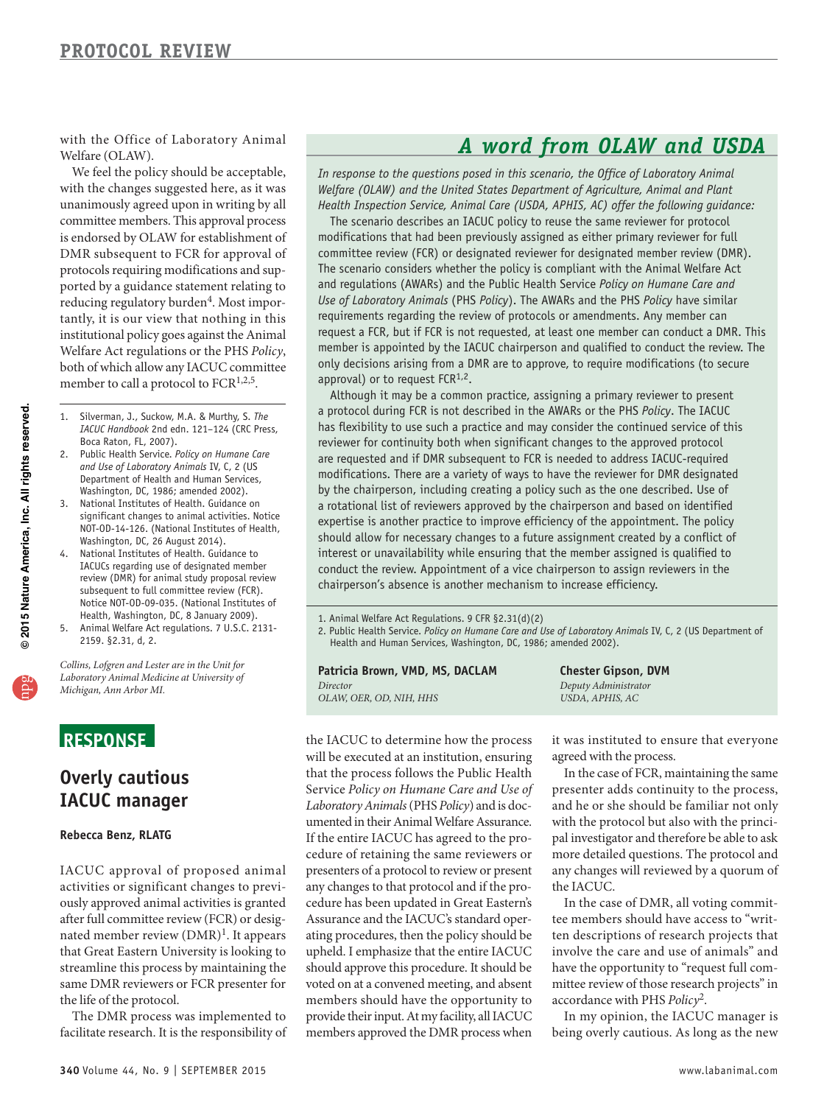with the Office of Laboratory Animal Welfare (OLAW).

We feel the policy should be acceptable, with the changes suggested here, as it was unanimously agreed upon in writing by all committee members. This approval process is endorsed by OLAW for establishment of DMR subsequent to FCR for approval of protocols requiring modifications and supported by a guidance statement relating to reducing regulatory burden<sup>4</sup>. Most importantly, it is our view that nothing in this institutional policy goes against the Animal Welfare Act regulations or the PHS *Policy*, both of which allow any IACUC committee member to call a protocol to  $FCR^{1,2,5}$ .

- 1. Silverman, J., Suckow, M.A. & Murthy, S. *The IACUC Handbook* 2nd edn. 121–124 (CRC Press, Boca Raton, FL, 2007).
- Public Health Service. Policy on Humane Care *and Use of Laboratory Animals* IV, C, 2 (US Department of Health and Human Services, Washington, DC, 1986; amended 2002).
- 3. National Institutes of Health. Guidance on significant changes to animal activities. Notice NOT-OD-14-126. (National Institutes of Health, Washington, DC, 26 August 2014).
- National Institutes of Health. Guidance to IACUCs regarding use of designated member review (DMR) for animal study proposal review subsequent to full committee review (FCR). Notice NOT-OD-09-035. (National Institutes of Health, Washington, DC, 8 January 2009).
- Animal Welfare Act regulations. 7 U.S.C. 2131-2159. §2.31, d, 2.

*Collins, Lofgren and Lester are in the Unit for Laboratory Animal Medicine at University of Michigan, Ann Arbor MI.* 



# **Overly cautious IACUC manager**

#### **Rebecca Benz, RLATG**

IACUC approval of proposed animal activities or significant changes to previously approved animal activities is granted after full committee review (FCR) or designated member review  $(DMR)^1$ . It appears that Great Eastern University is looking to streamline this process by maintaining the same DMR reviewers or FCR presenter for the life of the protocol.

The DMR process was implemented to facilitate research. It is the responsibility of *In response to the questions posed in this scenario, the Office of Laboratory Animal Welfare (OLAW) and the United States Department of Agriculture, Animal and Plant Health Inspection Service, Animal Care (USDA, APHIS, AC) offer the following guidance:* 

The scenario describes an IACUC policy to reuse the same reviewer for protocol modifications that had been previously assigned as either primary reviewer for full committee review (FCR) or designated reviewer for designated member review (DMR). The scenario considers whether the policy is compliant with the Animal Welfare Act and regulations (AWARs) and the Public Health Service *Policy on Humane Care and Use of Laboratory Animals* (PHS *Policy*). The AWARs and the PHS *Policy* have similar requirements regarding the review of protocols or amendments. Any member can request a FCR, but if FCR is not requested, at least one member can conduct a DMR. This member is appointed by the IACUC chairperson and qualified to conduct the review. The only decisions arising from a DMR are to approve, to require modifications (to secure approval) or to request  $FCR^{1,2}$ .

Although it may be a common practice, assigning a primary reviewer to present a protocol during FCR is not described in the AWARs or the PHS *Policy*. The IACUC has flexibility to use such a practice and may consider the continued service of this reviewer for continuity both when significant changes to the approved protocol are requested and if DMR subsequent to FCR is needed to address IACUC-required modifications. There are a variety of ways to have the reviewer for DMR designated by the chairperson, including creating a policy such as the one described. Use of a rotational list of reviewers approved by the chairperson and based on identified expertise is another practice to improve efficiency of the appointment. The policy should allow for necessary changes to a future assignment created by a conflict of interest or unavailability while ensuring that the member assigned is qualified to conduct the review. Appointment of a vice chairperson to assign reviewers in the chairperson's absence is another mechanism to increase efficiency.

2. Public Health Service. *Policy on Humane Care and Use of Laboratory Animals* IV, C, 2 (US Department of Health and Human Services, Washington, DC, 1986; amended 2002).

**Patricia Brown, VMD, MS, DACLAM Chester Gipson, DVM**  *Director Deputy Administrator* 

*OLAW, OER, OD, NIH, HHS* 

 Assurance and the IACUC's standard oper- tee members should have access to "writthe IACUC to determine how the process it was instituted to ensure that everyone will be executed at an institution, ensuring agreed with the process. that the process follows the Public Health In the case of FCR, maintaining the same Service *Policy on Humane Care and Use of* presenter adds continuity to the process, *Laboratory Animals* (PHS *Policy*) and is doc- and he or she should be familiar not only umented in their Animal Welfare Assurance. with the protocol but also with the princi-If the entire IACUC has agreed to the pro- pal investigator and therefore be able to ask cedure of retaining the same reviewers or more detailed questions. The protocol and presenters of a protocol to review or present any changes will reviewed by a quorum of any changes to that protocol and if the pro- the IACUC. cedure has been updated in Great Eastern's In the case of DMR, all voting commitating procedures, then the policy should be ten descriptions of research projects that upheld. I emphasize that the entire IACUC involve the care and use of animals" and should approve this procedure. It should be have the opportunity to "request full comvoted on at a convened meeting, and absent mittee review of those research projects" in members should have the opportunity to accordance with PHS *Policy*<sup>2</sup>. provide their input. At my facility, all IACUC In my opinion, the IACUC manager is

members approved the DMR process when being overly cautious. As long as the new

<sup>1.</sup> Animal Welfare Act Regulations. 9 CFR §2.31(d)(2)